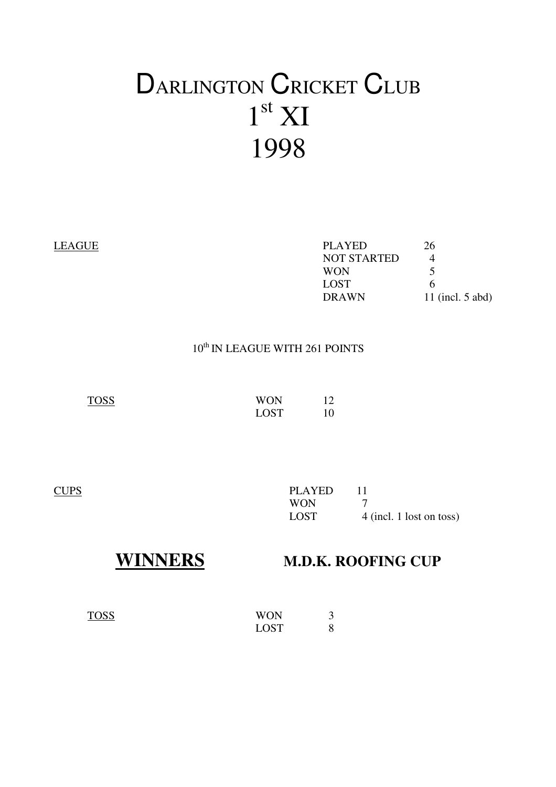# DARLINGTON CRICKET CLUB  $1<sup>st</sup> XI$ 1998

| LEAGUE | <b>PLAYED</b>      | 26                 |
|--------|--------------------|--------------------|
|        | <b>NOT STARTED</b> |                    |
|        | <b>WON</b>         |                    |
|        | <b>LOST</b>        | O                  |
|        | <b>DRAWN</b>       | 11 (incl. $5$ abd) |
|        |                    |                    |

### $10^{\text{th}}$  IN LEAGUE WITH 261 POINTS

TOSS WON 12 LOST 10

| CUPS | PLAYED |                          |
|------|--------|--------------------------|
|      | WON    |                          |
|      | LOST   | 4 (incl. 1 lost on toss) |

## **WINNERS M.D.K. ROOFING CUP**

| <b>TOSS</b> | <b>WON</b>  |  |
|-------------|-------------|--|
|             | <b>LOST</b> |  |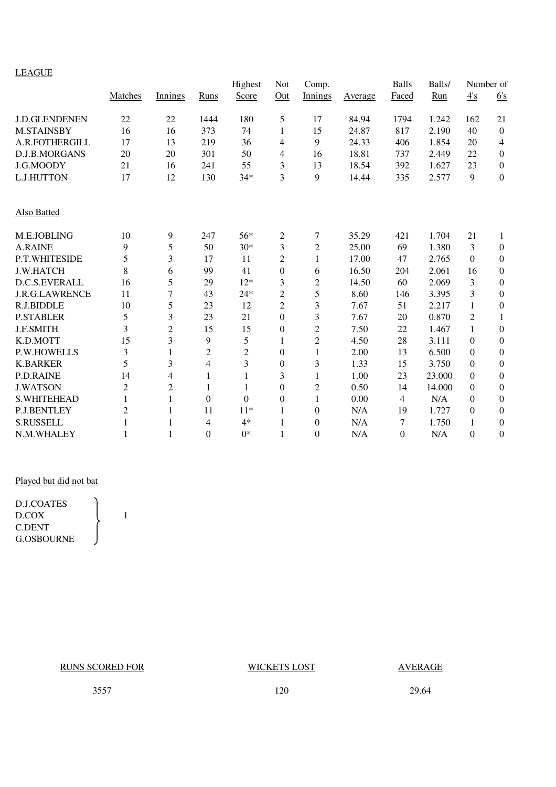### LEAGUE

|                       |                |                         |                  | Highest        | Not              | Comp.            |         | Balls          | Balls/ | Number of |                  |
|-----------------------|----------------|-------------------------|------------------|----------------|------------------|------------------|---------|----------------|--------|-----------|------------------|
|                       | Matches        | Innings                 | Runs             | Score          | Out              | Innings          | Average | Faced          | Run    | 4's       | 6's              |
| <b>J.D.GLENDENEN</b>  | 22             | 22                      | 1444             | 180            | 5                | 17               | 84.94   | 1794           | 1.242  | 162       | 21               |
| <b>M.STAINSBY</b>     | 16             | 16                      | 373              | 74             | 1                | 15               | 24.87   | 817            | 2.190  | 40        | $\boldsymbol{0}$ |
| A.R.FOTHERGILL        | 17             | 13                      | 219              | 36             | 4                | 9                | 24.33   | 406            | 1.854  | 20        | $\overline{4}$   |
| D.J.B.MORGANS         | 20             | 20                      | 301              | 50             | 4                | 16               | 18.81   | 737            | 2.449  | 22        | $\boldsymbol{0}$ |
| J.G.MOODY             | 21             | 16                      | 241              | 55             | 3                | 13               | 18.54   | 392            | 1.627  | 23        | $\boldsymbol{0}$ |
| L.J.HUTTON            | 17             | 12                      | 130              | $34*$          | 3                | 9                | 14.44   | 335            | 2.577  | 9         | $\boldsymbol{0}$ |
| Also Batted           |                |                         |                  |                |                  |                  |         |                |        |           |                  |
| M.E.JOBLING           | 10             | 9                       | 247              | 56*            | 2                | 7                | 35.29   | 421            | 1.704  | 21        | 1                |
| <b>A.RAINE</b>        | 9              | 5                       | 50               | $30*$          | 3                | $\overline{2}$   | 25.00   | 69             | 1.380  | 3         | $\boldsymbol{0}$ |
| P.T.WHITESIDE         | 5              | 3                       | 17               | 11             | $\overline{2}$   | 1                | 17.00   | 47             | 2.765  | $\Omega$  | $\boldsymbol{0}$ |
| <b>J.W.HATCH</b>      | 8              | 6                       | 99               | 41             | $\boldsymbol{0}$ | 6                | 16.50   | 204            | 2.061  | 16        | $\mathbf{0}$     |
| D.C.S.EVERALL         | 16             | 5                       | 29               | $12*$          | 3                | $\overline{c}$   | 14.50   | 60             | 2.069  | 3         | $\mathbf{0}$     |
| <b>J.R.G.LAWRENCE</b> | 11             | 7                       | 43               | $24*$          | $\overline{c}$   | 5                | 8.60    | 146            | 3.395  | 3         | $\boldsymbol{0}$ |
| R.J.BIDDLE            | 10             | 5                       | 23               | 12             | $\overline{2}$   | 3                | 7.67    | 51             | 2.217  | 1         | $\boldsymbol{0}$ |
| <b>P.STABLER</b>      | 5              | 3                       | 23               | 21             | $\overline{0}$   | 3                | 7.67    | 20             | 0.870  | 2         | 1                |
| <b>J.F.SMITH</b>      | 3              | $\overline{c}$          | 15               | 15             | $\boldsymbol{0}$ | $\overline{c}$   | 7.50    | 22             | 1.467  | 1         | $\boldsymbol{0}$ |
| K.D.MOTT              | 15             | $\overline{\mathbf{3}}$ | 9                | 5              | 1                | $\overline{c}$   | 4.50    | 28             | 3.111  | $\Omega$  | $\mathbf{0}$     |
| <b>P.W.HOWELLS</b>    | 3              | 1                       | $\overline{2}$   | $\overline{2}$ | $\boldsymbol{0}$ | 1                | 2.00    | 13             | 6.500  | $\Omega$  | $\mathbf{0}$     |
| <b>K.BARKER</b>       | 5              | 3                       | 4                | 3              | $\boldsymbol{0}$ | 3                | 1.33    | 15             | 3.750  | $\Omega$  | $\mathbf{0}$     |
| P.D.RAINE             | 14             | 4                       |                  | 1              | 3                | 1                | 1.00    | 23             | 23.000 | $\Omega$  | $\boldsymbol{0}$ |
| <b>J.WATSON</b>       | $\overline{2}$ | 2                       | 1                | 1              | $\boldsymbol{0}$ | $\overline{c}$   | 0.50    | 14             | 14.000 | $\Omega$  | $\mathbf{0}$     |
| <b>S.WHITEHEAD</b>    | 1              | 1                       | $\theta$         | $\theta$       | $\overline{0}$   | 1                | 0.00    | $\overline{4}$ | N/A    | $\Omega$  | $\mathbf{0}$     |
| <b>P.J.BENTLEY</b>    | $\overline{2}$ | 1                       | 11               | $11*$          | 1                | $\boldsymbol{0}$ | N/A     | 19             | 1.727  | $\Omega$  | $\mathbf{0}$     |
| <b>S.RUSSELL</b>      | 1              | 1                       | 4                | $4*$           | 1                | $\overline{0}$   | N/A     | 7              | 1.750  | 1         | $\mathbf{0}$     |
| N.M.WHALEY            |                | 1                       | $\boldsymbol{0}$ | $0*$           | 1                | 0                | N/A     | $\theta$       | N/A    | $\Omega$  | $\theta$         |

### Played but did not bat

D.J.COATES  $D.COX$  1 C.DENT G.OSBOURNE

RUNS SCORED FOR WICKETS LOST AVERAGE

3557 120 29.64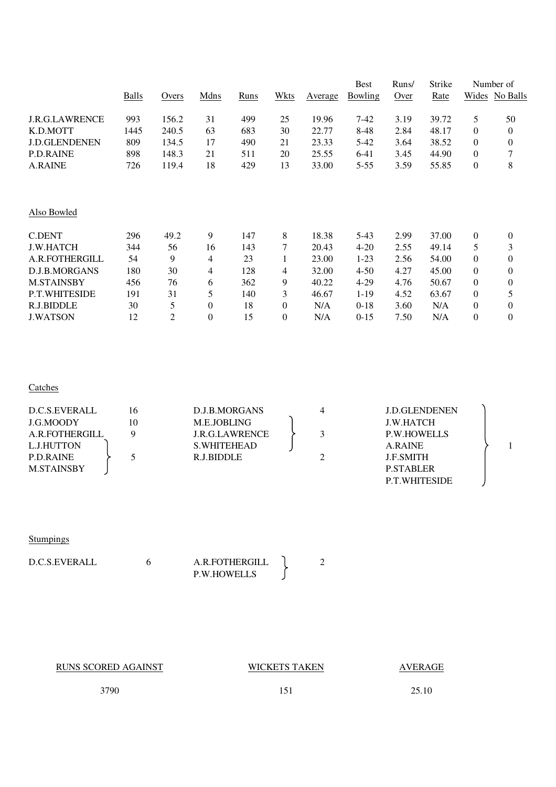|                       |       |       |              |      |                  |                | <b>Best</b> | Runs/ | Strike |                | Number of      |
|-----------------------|-------|-------|--------------|------|------------------|----------------|-------------|-------|--------|----------------|----------------|
|                       | Balls | Overs | Mdns         | Runs | Wkts             | <b>Average</b> | Bowling     | Over  | Rate   |                | Wides No Balls |
| <b>J.R.G.LAWRENCE</b> | 993   | 156.2 | 31           | 499  | 25               | 19.96          | $7-42$      | 3.19  | 39.72  | 5              | 50             |
| K.D.MOTT              | 1445  | 240.5 | 63           | 683  | 30               | 22.77          | 8-48        | 2.84  | 48.17  | 0              | 0              |
| <b>J.D.GLENDENEN</b>  | 809   | 134.5 | 17           | 490  | 21               | 23.33          | 5-42        | 3.64  | 38.52  | $\Omega$       | $\overline{0}$ |
| <b>P.D.RAINE</b>      | 898   | 148.3 | 21           | 511  | 20               | 25.55          | $6 - 41$    | 3.45  | 44.90  | $\Omega$       | 7              |
| <b>A.RAINE</b>        | 726   | 119.4 | 18           | 429  | 13               | 33.00          | $5 - 55$    | 3.59  | 55.85  | $\theta$       | 8              |
| Also Bowled           |       |       |              |      |                  |                |             |       |        |                |                |
|                       |       |       |              |      |                  |                |             |       |        |                |                |
| <b>C.DENT</b>         | 296   | 49.2  | 9            | 147  | 8                | 18.38          | $5-43$      | 2.99  | 37.00  | $\theta$       | 0              |
| <b>J.W.HATCH</b>      | 344   | 56    | 16           | 143  | 7                | 20.43          | $4 - 20$    | 2.55  | 49.14  | 5              | 3              |
| A.R.FOTHERGILL        | 54    | 9     | 4            | 23   | 1                | 23.00          | $1-23$      | 2.56  | 54.00  | $\Omega$       | $\overline{0}$ |
| <b>D.J.B.MORGANS</b>  | 180   | 30    | 4            | 128  | 4                | 32.00          | $4 - 50$    | 4.27  | 45.00  | $\Omega$       | $\overline{0}$ |
| <b>M.STAINSBY</b>     | 456   | 76    | 6            | 362  | 9                | 40.22          | $4 - 29$    | 4.76  | 50.67  | $\Omega$       | $\overline{0}$ |
| P.T.WHITESIDE         | 191   | 31    | 5            | 140  | 3                | 46.67          | $1-19$      | 4.52  | 63.67  | $\overline{0}$ | 5              |
| R.J.BIDDLE            | 30    | 5     | $\mathbf{0}$ | 18   | $\boldsymbol{0}$ | N/A            | $0 - 18$    | 3.60  | N/A    | $\overline{0}$ | 0              |
| <b>J.WATSON</b>       | 12    | 2     | $\mathbf{0}$ | 15   | $\mathbf{0}$     | N/A            | $0 - 15$    | 7.50  | N/A    | $\theta$       | 0              |

#### **Catches**

| D.C.S.EVERALL     | 16 | D.J.B.MORGANS         |  | <b>J.D.GLENDENEN</b> |  |
|-------------------|----|-----------------------|--|----------------------|--|
| J.G.MOODY         | 10 | M.E.JOBLING           |  | <b>J.W.HATCH</b>     |  |
| A.R.FOTHERGILL    | Q  | <b>J.R.G.LAWRENCE</b> |  | <b>P.W.HOWELLS</b>   |  |
| L.J.HUTTON        |    | S. WHITEHEAD          |  | A.RAINE              |  |
| <b>P.D.RAINE</b>  |    | R.J.BIDDLE            |  | <b>J.F.SMITH</b>     |  |
| <b>M.STAINSBY</b> |    |                       |  | <b>P.STABLER</b>     |  |
|                   |    |                       |  | <b>P.T.WHITESIDE</b> |  |
|                   |    |                       |  |                      |  |

### **Stumpings**

| D.C.S.EVERALL | A.R. FOTHERGILL    |  |
|---------------|--------------------|--|
|               | <b>P.W.HOWELLS</b> |  |

| <b>RUNS SCORED AGAINST</b> | WICKETS TAKEN | AVERAGE |
|----------------------------|---------------|---------|
| 3790                       | 151           | 25.10   |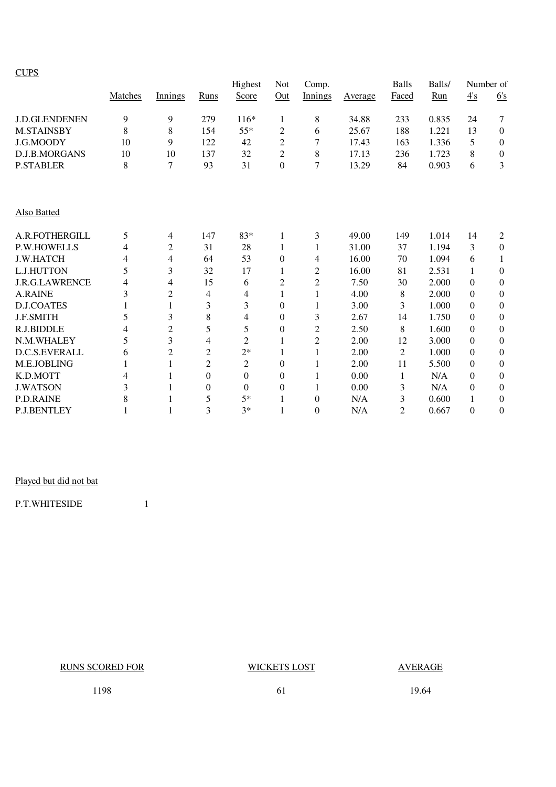|--|

|                      |         |                |                  | Highest          | Not              | Comp.          |         | <b>Balls</b>   | Balls/ |          | Number of        |
|----------------------|---------|----------------|------------------|------------------|------------------|----------------|---------|----------------|--------|----------|------------------|
|                      | Matches | Innings        | Runs             | Score            | Out              | Innings        | Average | Faced          | Run    | 4s       | 6's              |
| <b>J.D.GLENDENEN</b> | 9       | 9              | 279              | $116*$           | $\mathbf{1}$     | 8              | 34.88   | 233            | 0.835  | 24       | 7                |
| <b>M.STAINSBY</b>    | 8       | 8              | 154              | $55*$            | 2                | 6              | 25.67   | 188            | 1.221  | 13       | $\theta$         |
| J.G.MOODY            | 10      | 9              | 122              | 42               | $\overline{2}$   | 7              | 17.43   | 163            | 1.336  | 5        | $\mathbf{0}$     |
| D.J.B.MORGANS        | 10      | 10             | 137              | 32               | $\overline{2}$   | 8              | 17.13   | 236            | 1.723  | 8        | $\theta$         |
| <b>P.STABLER</b>     | 8       | 7              | 93               | 31               | $\boldsymbol{0}$ | $\overline{7}$ | 13.29   | 84             | 0.903  | 6        | 3                |
| Also Batted          |         |                |                  |                  |                  |                |         |                |        |          |                  |
| A.R.FOTHERGILL       | 5       | 4              | 147              | 83*              | 1                | 3              | 49.00   | 149            | 1.014  | 14       | 2                |
| <b>P.W.HOWELLS</b>   | 4       | $\overline{c}$ | 31               | 28               | 1                | 1              | 31.00   | 37             | 1.194  | 3        | $\boldsymbol{0}$ |
| <b>J.W.HATCH</b>     | 4       | 4              | 64               | 53               | $\boldsymbol{0}$ | 4              | 16.00   | 70             | 1.094  | 6        | 1                |
| L.J.HUTTON           | 5       | 3              | 32               | 17               | $\mathbf{1}$     | 2              | 16.00   | 81             | 2.531  | 1        | $\theta$         |
| J.R.G.LAWRENCE       | 4       | 4              | 15               | 6                | 2                | $\overline{2}$ | 7.50    | 30             | 2.000  | $\Omega$ | $\theta$         |
| <b>A.RAINE</b>       | 3       | $\overline{c}$ | 4                | 4                | 1                | 1              | 4.00    | 8              | 2.000  | $\Omega$ | $\theta$         |
| <b>D.J.COATES</b>    |         | 1              | 3                | 3                | $\theta$         | 1              | 3.00    | 3              | 1.000  | $\Omega$ | $\theta$         |
| <b>J.F.SMITH</b>     | 5       | 3              | 8                | 4                | $\theta$         | 3              | 2.67    | 14             | 1.750  | $\Omega$ | $\theta$         |
| R.J.BIDDLE           | 4       | $\overline{2}$ | 5                | 5                | $\boldsymbol{0}$ | $\overline{c}$ | 2.50    | 8              | 1.600  | $\Omega$ | $\theta$         |
| N.M.WHALEY           | 5       | 3              | 4                | $\overline{c}$   | 1                | $\overline{2}$ | 2.00    | 12             | 3.000  | $\Omega$ | $\Omega$         |
| <b>D.C.S.EVERALL</b> | 6       | $\overline{c}$ | $\overline{2}$   | $2*$             | 1                | 1              | 2.00    | $\overline{2}$ | 1.000  | $\Omega$ | $\theta$         |
| M.E.JOBLING          |         |                | $\overline{2}$   | $\overline{2}$   | $\theta$         |                | 2.00    | 11             | 5.500  | $\Omega$ | $\theta$         |
| K.D.MOTT             | 4       |                | $\boldsymbol{0}$ | $\boldsymbol{0}$ | $\boldsymbol{0}$ |                | 0.00    | 1              | N/A    | $\Omega$ | $\boldsymbol{0}$ |
| <b>J.WATSON</b>      | 3       |                | $\theta$         | $\theta$         | $\boldsymbol{0}$ |                | 0.00    | 3              | N/A    | $\Omega$ | $\theta$         |
| <b>P.D.RAINE</b>     | 8       |                | 5                | $5*$             | $\mathbf{1}$     | $\theta$       | N/A     | 3              | 0.600  | 1        | $\theta$         |
| P.J.BENTLEY          |         | 1              | 3                | $3*$             | 1                | $\Omega$       | N/A     | $\overline{2}$ | 0.667  | $\theta$ | $\Omega$         |

### Played but did not bat

P.T.WHITESIDE 1

RUNS SCORED FOR WICKETS LOST AVERAGE

1198 **61** 19.64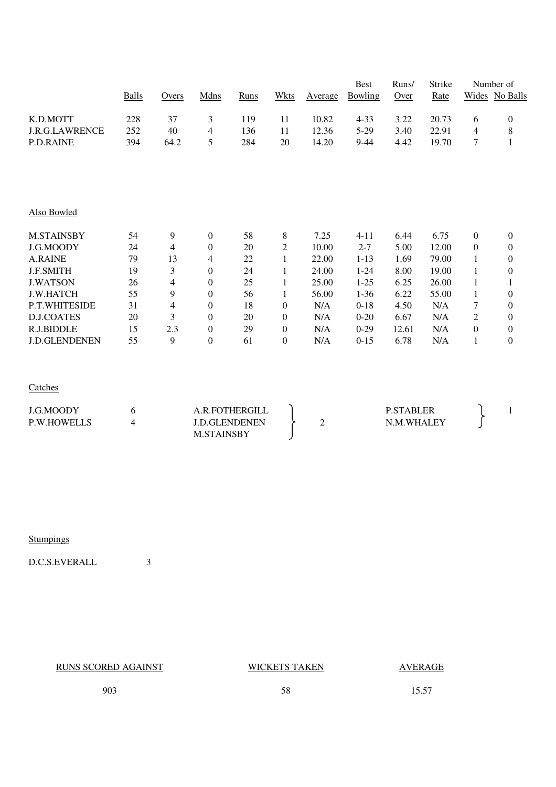|                       |              |       |                  |             |                  |         | <b>Best</b> | Runs/ | Strike |                | Number of        |
|-----------------------|--------------|-------|------------------|-------------|------------------|---------|-------------|-------|--------|----------------|------------------|
|                       | <b>Balls</b> | Overs | Mdns             | <b>Runs</b> | <b>Wkts</b>      | Average | Bowling     | Over  | Rate   |                | Wides No Balls   |
| K.D.MOTT              | 228          | 37    | 3                | 119         | 11               | 10.82   | $4 - 33$    | 3.22  | 20.73  | 6              | $\boldsymbol{0}$ |
| <b>J.R.G.LAWRENCE</b> | 252          | 40    | 4                | 136         | 11               | 12.36   | $5-29$      | 3.40  | 22.91  | 4              | $8\,$            |
| <b>P.D.RAINE</b>      | 394          | 64.2  | 5                | 284         | 20               | 14.20   | $9-44$      | 4.42  | 19.70  | 7              | $\mathbf{1}$     |
|                       |              |       |                  |             |                  |         |             |       |        |                |                  |
| Also Bowled           |              |       |                  |             |                  |         |             |       |        |                |                  |
| <b>M.STAINSBY</b>     | 54           | 9     | $\boldsymbol{0}$ | 58          | 8                | 7.25    | $4 - 11$    | 6.44  | 6.75   | $\overline{0}$ | $\mathbf{0}$     |
| J.G.MOODY             | 24           | 4     | $\mathbf{0}$     | 20          | $\overline{c}$   | 10.00   | $2 - 7$     | 5.00  | 12.00  | $\overline{0}$ | $\boldsymbol{0}$ |
| <b>A.RAINE</b>        | 79           | 13    | 4                | 22          | $\mathbf{1}$     | 22.00   | $1 - 13$    | 1.69  | 79.00  | 1              | $\boldsymbol{0}$ |
| <b>J.F.SMITH</b>      | 19           | 3     | $\mathbf{0}$     | 24          | 1                | 24.00   | $1 - 24$    | 8.00  | 19.00  |                | $\boldsymbol{0}$ |
| <b>J.WATSON</b>       | 26           | 4     | $\mathbf{0}$     | 25          | 1                | 25.00   | $1 - 25$    | 6.25  | 26.00  | 1              | 1                |
| <b>J.W.HATCH</b>      | 55           | 9     | $\mathbf{0}$     | 56          | 1                | 56.00   | $1 - 36$    | 6.22  | 55.00  | 1              | $\boldsymbol{0}$ |
| P.T.WHITESIDE         | 31           | 4     | $\mathbf{0}$     | 18          | $\boldsymbol{0}$ | N/A     | $0-18$      | 4.50  | N/A    | 7              | $\boldsymbol{0}$ |
| <b>D.J.COATES</b>     | 20           | 3     | $\mathbf{0}$     | 20          | $\theta$         | N/A     | $0-20$      | 6.67  | N/A    | 2              | $\mathbf{0}$     |
| R.J.BIDDLE            | 15           | 2.3   | $\mathbf{0}$     | 29          | $\mathbf{0}$     | N/A     | $0-29$      | 12.61 | N/A    | $\overline{0}$ | $\boldsymbol{0}$ |
| <b>J.D.GLENDENEN</b>  | 55           | 9     | $\boldsymbol{0}$ | 61          | $\boldsymbol{0}$ | N/A     | $0-15$      | 6.78  | N/A    | $\mathbf{1}$   | $\boldsymbol{0}$ |

**Catches** 

| J.G.MOODY          | A.R.FOTHERGILL    | <b>P.STABLER</b> |  |
|--------------------|-------------------|------------------|--|
| <b>P.W.HOWELLS</b> | LD.GLENDENEN      | N.M.WHALEY       |  |
|                    | <b>M.STAINSBY</b> |                  |  |

**Stumpings** 

D.C.S.EVERALL 3

RUNS SCORED AGAINST WICKETS TAKEN AVERAGE

903 58 15.57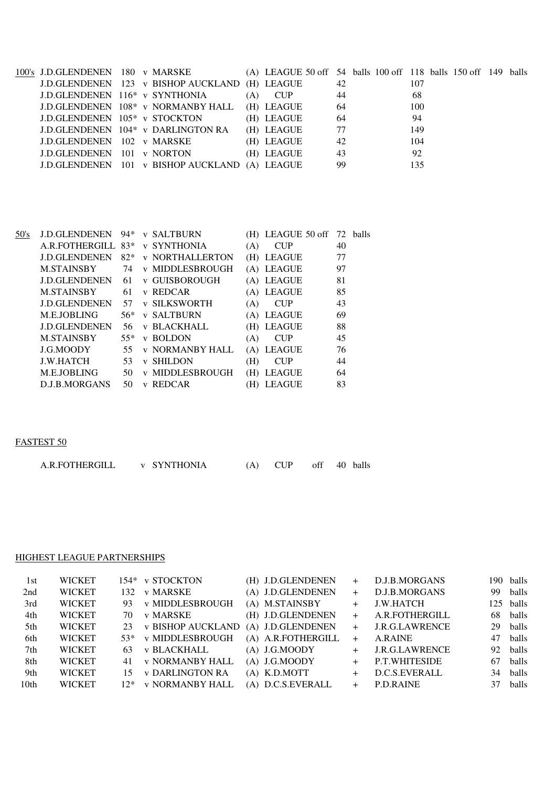| 100's J.D.GLENDENEN 180 v MARSKE           |                                                |     | (A) LEAGUE 50 off 54 balls 100 off 118 balls 150 off 149 balls |     |     |  |  |
|--------------------------------------------|------------------------------------------------|-----|----------------------------------------------------------------|-----|-----|--|--|
|                                            | J.D.GLENDENEN 123 v BISHOP AUCKLAND (H) LEAGUE |     |                                                                | 42  | 107 |  |  |
| J.D.GLENDENEN 116 <sup>*</sup> v SYNTHONIA |                                                | (A) | <b>CUP</b>                                                     | 44  | 68  |  |  |
|                                            | J.D.GLENDENEN 108* v NORMANBY HALL             |     | (H) LEAGUE                                                     | 64  | 100 |  |  |
| J.D.GLENDENEN 105* v STOCKTON              |                                                |     | (H) LEAGUE                                                     | -64 | 94  |  |  |
|                                            | J.D.GLENDENEN 104* v DARLINGTON RA             |     | (H) LEAGUE                                                     | 77  | 149 |  |  |
| J.D.GLENDENEN 102 v MARSKE                 |                                                |     | (H) LEAGUE                                                     | 42  | 104 |  |  |
| <b>J.D.GLENDENEN</b> 101 v NORTON          |                                                |     | (H) LEAGUE                                                     | 43  | 92  |  |  |
|                                            | J.D.GLENDENEN 101 v BISHOP AUCKLAND (A) LEAGUE |     |                                                                | -99 | 135 |  |  |

| 50's | <b>J.D.GLENDENEN</b> | 94*   |              | <b>v SALTBURN</b>      |     | (H) LEAGUE 50 off 72 balls |    |  |
|------|----------------------|-------|--------------|------------------------|-----|----------------------------|----|--|
|      | A.R.FOTHERGILL       | $83*$ |              | <b>v SYNTHONIA</b>     | (A) | <b>CUP</b>                 | 40 |  |
|      | <b>J.D.GLENDENEN</b> | $82*$ |              | <b>v NORTHALLERTON</b> |     | (H) LEAGUE                 | 77 |  |
|      | <b>M.STAINSBY</b>    | 74    |              | <b>v MIDDLESBROUGH</b> |     | (A) LEAGUE                 | 97 |  |
|      | <b>J.D.GLENDENEN</b> | 61    |              | v GUISBOROUGH          |     | (A) LEAGUE                 | 81 |  |
|      | <b>M.STAINSBY</b>    | 61    |              | v REDCAR               |     | (A) LEAGUE                 | 85 |  |
|      | <b>J.D.GLENDENEN</b> | 57    |              | <b>v SILKSWORTH</b>    | (A) | <b>CUP</b>                 | 43 |  |
|      | M.E.JOBLING          | $56*$ |              | <b>v SALTBURN</b>      |     | (A) LEAGUE                 | 69 |  |
|      | <b>J.D.GLENDENEN</b> | 56    |              | <b>v BLACKHALL</b>     |     | (H) LEAGUE                 | 88 |  |
|      | <b>M.STAINSBY</b>    | $55*$ | $\mathbf{V}$ | <b>BOLDON</b>          | (A) | <b>CUP</b>                 | 45 |  |
|      | J.G.MOODY            | 55    |              | <b>v NORMANBY HALL</b> |     | (A) LEAGUE                 | 76 |  |
|      | <b>J.W.HATCH</b>     | 53    | $\mathbf{V}$ | <b>SHILDON</b>         | (H) | <b>CUP</b>                 | 44 |  |
|      | M.E.JOBLING          | 50    |              | v MIDDLESBROUGH        | (H) | <b>LEAGUE</b>              | 64 |  |
|      | D.J.B.MORGANS        | 50    | V            | <b>REDCAR</b>          | (H) | <b>LEAGUE</b>              | 83 |  |
|      |                      |       |              |                        |     |                            |    |  |

### FASTEST 50

| A.R.FOTHERGILL | <b>v SYNTHONIA</b> | $(A)$ CUP | off 40 balls |  |
|----------------|--------------------|-----------|--------------|--|
|                |                    |           |              |  |

### HIGHEST LEAGUE PARTNERSHIPS

| <b>WICKET</b> |      |                 |                                                                                                                                 | $+$                                                                                                                                                                                                   | D.J.B.MORGANS  |                             | 190 balls |
|---------------|------|-----------------|---------------------------------------------------------------------------------------------------------------------------------|-------------------------------------------------------------------------------------------------------------------------------------------------------------------------------------------------------|----------------|-----------------------------|-----------|
| <b>WICKET</b> | 132. |                 |                                                                                                                                 | $+$                                                                                                                                                                                                   | D.J.B.MORGANS  |                             | 99 balls  |
| <b>WICKET</b> | 93.  | v MIDDLESBROUGH |                                                                                                                                 | $+$                                                                                                                                                                                                   | J.W.HATCH      |                             | 125 balls |
| <b>WICKET</b> | 70.  | v MARSKE        |                                                                                                                                 | $+$                                                                                                                                                                                                   | A.R.FOTHERGILL |                             | 68 balls  |
| <b>WICKET</b> | 23   |                 |                                                                                                                                 | $+$                                                                                                                                                                                                   | J.R.G.LAWRENCE |                             | 29 balls  |
| <b>WICKET</b> |      |                 |                                                                                                                                 | $+$                                                                                                                                                                                                   | A.RAINE        |                             | 47 balls  |
| <b>WICKET</b> | 63.  | v BLACKHALL     |                                                                                                                                 | $+$                                                                                                                                                                                                   |                |                             | 92 balls  |
| <b>WICKET</b> | 41   | v NORMANBY HALL |                                                                                                                                 | $+$                                                                                                                                                                                                   | P.T.WHITESIDE  |                             | 67 balls  |
| <b>WICKET</b> | 15   |                 |                                                                                                                                 |                                                                                                                                                                                                       | D.C.S.EVERALL  |                             | 34 balls  |
| <b>WICKET</b> |      |                 |                                                                                                                                 |                                                                                                                                                                                                       |                |                             | 37 balls  |
|               |      |                 | 154* v STOCKTON<br>v MARSKE<br><b>v BISHOP AUCKLAND</b><br>53* v MIDDLESBROUGH<br><b>v DARLINGTON RA</b><br>12* v NORMANBY HALL | (H) J.D.GLENDENEN<br>(A) J.D.GLENDENEN<br>(A) M.STAINSBY<br>(H) J.D.GLENDENEN<br>(A) J.D.GLENDENEN<br>(A) A.R.FOTHERGILL<br>$(A)$ J.G.MOODY<br>$(A)$ J.G.MOODY<br>$(A)$ K.D.MOTT<br>(A) D.C.S.EVERALL |                | J.R.G.LAWRENCE<br>P.D.RAINE |           |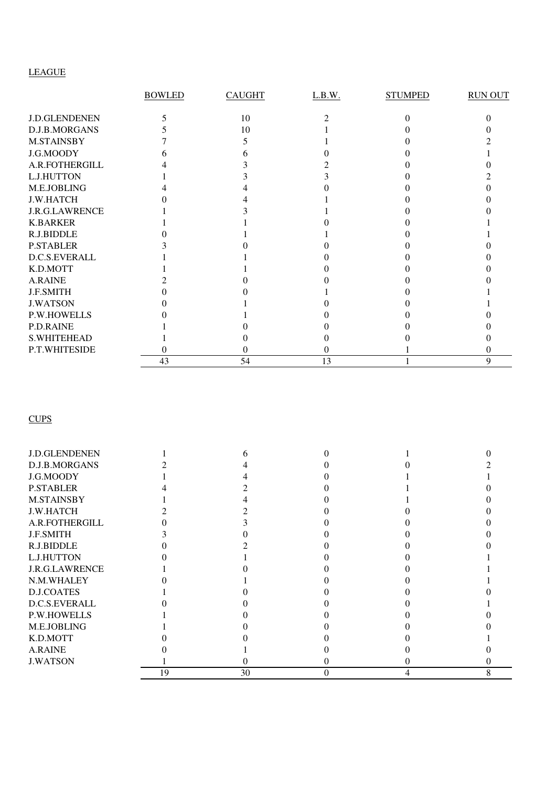### LEAGUE

|                       | <b>BOWLED</b> | <b>CAUGHT</b> | L.B.W. | <b>STUMPED</b> | <b>RUN OUT</b> |
|-----------------------|---------------|---------------|--------|----------------|----------------|
| <b>J.D.GLENDENEN</b>  |               | 10            |        |                |                |
| D.J.B.MORGANS         |               | 10            |        |                |                |
| <b>M.STAINSBY</b>     |               |               |        |                |                |
| J.G.MOODY             |               |               |        |                |                |
| A.R.FOTHERGILL        |               |               |        |                |                |
| L.J.HUTTON            |               |               |        |                |                |
| M.E.JOBLING           |               |               |        |                |                |
| <b>J.W.HATCH</b>      |               |               |        |                |                |
| <b>J.R.G.LAWRENCE</b> |               |               |        |                |                |
| <b>K.BARKER</b>       |               |               |        |                |                |
| R.J.BIDDLE            |               |               |        |                |                |
| <b>P.STABLER</b>      |               |               |        |                |                |
| D.C.S.EVERALL         |               |               |        |                |                |
| K.D.MOTT              |               |               |        |                |                |
| <b>A.RAINE</b>        |               |               |        |                |                |
| J.F.SMITH             |               |               |        |                |                |
| <b>J.WATSON</b>       |               |               |        |                |                |
| <b>P.W.HOWELLS</b>    |               |               |        |                |                |
| P.D.RAINE             |               |               |        |                |                |
| <b>S.WHITEHEAD</b>    |               |               |        |                |                |
| P.T.WHITESIDE         |               |               |        |                |                |
|                       | 43            | 54            | 13     |                | 9              |

**CUPS** 

| <b>J.D.GLENDENEN</b>  |    |    |          |  |
|-----------------------|----|----|----------|--|
| D.J.B.MORGANS         |    |    |          |  |
| J.G.MOODY             |    |    |          |  |
| <b>P.STABLER</b>      |    |    |          |  |
| <b>M.STAINSBY</b>     |    |    |          |  |
| <b>J.W.HATCH</b>      |    |    |          |  |
| A.R.FOTHERGILL        |    |    |          |  |
| <b>J.F.SMITH</b>      |    |    |          |  |
| R.J.BIDDLE            |    |    |          |  |
| L.J.HUTTON            |    |    |          |  |
| <b>J.R.G.LAWRENCE</b> |    |    |          |  |
| N.M.WHALEY            |    |    |          |  |
| <b>D.J.COATES</b>     |    |    |          |  |
| D.C.S.EVERALL         |    |    |          |  |
| <b>P.W.HOWELLS</b>    |    |    |          |  |
| M.E.JOBLING           |    |    |          |  |
| K.D.MOTT              |    |    |          |  |
| <b>A.RAINE</b>        |    |    |          |  |
| <b>J.WATSON</b>       |    |    |          |  |
|                       | 19 | 30 | $\theta$ |  |
|                       |    |    |          |  |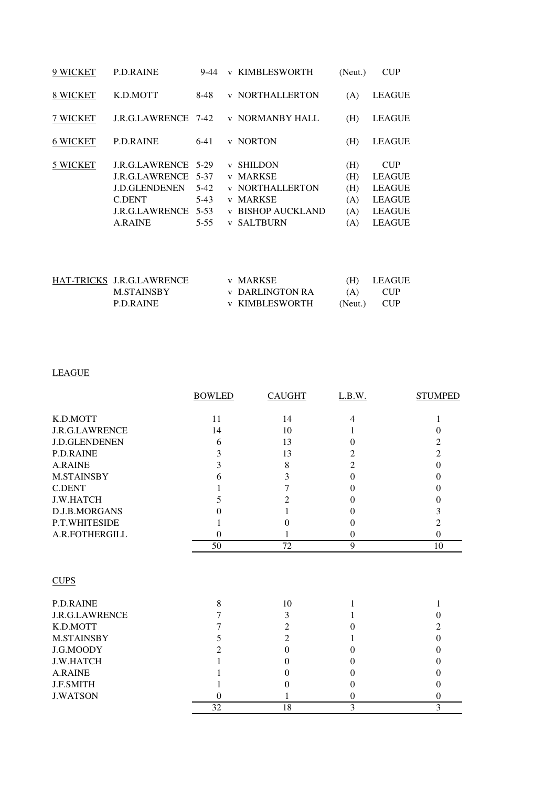| 9 WICKET        | <b>P.D.RAINE</b>                                                                                                                   | 9-44                                                     | V                                                                 | <b>KIMBLESWORTH</b>                                                                                                     | (Neut.)                                | <b>CUP</b>                                                                                      |
|-----------------|------------------------------------------------------------------------------------------------------------------------------------|----------------------------------------------------------|-------------------------------------------------------------------|-------------------------------------------------------------------------------------------------------------------------|----------------------------------------|-------------------------------------------------------------------------------------------------|
| <b>8 WICKET</b> | K.D.MOTT                                                                                                                           | 8-48                                                     | $\mathbf{V}$                                                      | <b>NORTHALLERTON</b>                                                                                                    | (A)                                    | <b>LEAGUE</b>                                                                                   |
| 7 WICKET        | <b>J.R.G.LAWRENCE</b> 7-42                                                                                                         |                                                          |                                                                   | <b>v NORMANBY HALL</b>                                                                                                  | (H)                                    | <b>LEAGUE</b>                                                                                   |
| <b>6 WICKET</b> | <b>P.D.RAINE</b>                                                                                                                   | $6-41$                                                   | $\mathbf{V}$                                                      | <b>NORTON</b>                                                                                                           | (H)                                    | <b>LEAGUE</b>                                                                                   |
| 5 WICKET        | <b>J.R.G.LAWRENCE</b><br><b>J.R.G.LAWRENCE</b><br><b>J.D.GLENDENEN</b><br><b>C.DENT</b><br><b>J.R.G.LAWRENCE</b><br><b>A.RAINE</b> | 5-29<br>5-37<br>$5-42$<br>$5-43$<br>$5 - 53$<br>$5 - 55$ | $\mathbf{V}$<br>V<br>$\mathbf{V}$<br>$\mathbf{V}$<br>$\mathbf{V}$ | <b>SHILDON</b><br><b>MARKSE</b><br><b>v NORTHALLERTON</b><br><b>MARKSE</b><br><b>BISHOP AUCKLAND</b><br><b>SALTBURN</b> | (H)<br>(H)<br>(H)<br>(A)<br>(A)<br>(A) | <b>CUP</b><br><b>LEAGUE</b><br><b>LEAGUE</b><br><b>LEAGUE</b><br><b>LEAGUE</b><br><b>LEAGUE</b> |

| HAT-TRICKS J.R.G.LAWRENCE | v MARKSE               |     | (H) LEAGUE  |
|---------------------------|------------------------|-----|-------------|
| M.STAINSBY                | <b>v</b> DARLINGTON RA | (A) | <b>CUP</b>  |
| P.D.RAINE                 | <b>v KIMBLESWORTH</b>  |     | (Neut.) CUP |

### LEAGUE

|                       | <b>BOWLED</b> | <b>CAUGHT</b>  | L.B.W.         | <b>STUMPED</b>   |
|-----------------------|---------------|----------------|----------------|------------------|
|                       |               |                |                |                  |
| K.D.MOTT              | 11            | 14             | $\overline{4}$ | 1                |
| <b>J.R.G.LAWRENCE</b> | 14            | 10             |                | $\mathbf{0}$     |
| <b>J.D.GLENDENEN</b>  | 6             | 13             | $\Omega$       | $\overline{c}$   |
| <b>P.D.RAINE</b>      | 3             | 13             | 2              | $\overline{2}$   |
| <b>A.RAINE</b>        | 3             | 8              | $\overline{2}$ | $\mathbf{0}$     |
| <b>M.STAINSBY</b>     | 6             | 3              | $\theta$       | $\theta$         |
| <b>C.DENT</b>         |               | 7              | 0              | $\theta$         |
| <b>J.W.HATCH</b>      | 5             | 2              | 0              | $\theta$         |
| D.J.B.MORGANS         | 0             |                | 0              | 3                |
| P.T.WHITESIDE         |               | $\theta$       | 0              | $\overline{2}$   |
| A.R.FOTHERGILL        | $\theta$      |                | $\theta$       | $\overline{0}$   |
|                       | 50            | 72             | 9              | 10               |
|                       |               |                |                |                  |
| <b>CUPS</b>           |               |                |                |                  |
|                       |               |                |                |                  |
| <b>P.D.RAINE</b>      | 8             | 10             | 1              | 1                |
| <b>J.R.G.LAWRENCE</b> | 7             | 3              |                | $\mathbf{0}$     |
| K.D.MOTT              | 7             | 2              | 0              | $\overline{2}$   |
| <b>M.STAINSBY</b>     | 5             | $\overline{2}$ |                | $\mathbf{0}$     |
| J.G.MOODY             | 2             | $\theta$       | 0              | $\overline{0}$   |
| <b>J.W.HATCH</b>      |               | 0              | $\theta$       | $\overline{0}$   |
| A.RAINE               |               | $\Omega$       | 0              | $\theta$         |
| <b>J.F.SMITH</b>      |               | $\Omega$       | 0              | $\boldsymbol{0}$ |
| <b>J.WATSON</b>       | $\theta$      |                | $\overline{0}$ | $\boldsymbol{0}$ |
|                       | 32            | 18             | 3              | 3                |